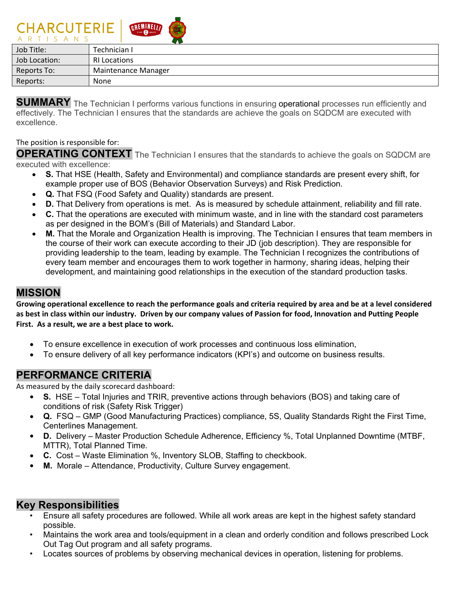| <b>CHANCOILNIL</b><br><b>DATA BALLAS</b><br>ARTISANS |
|------------------------------------------------------|
| Technician I                                         |
| <b>RI Locations</b>                                  |
| Maintenance Manager                                  |
| None                                                 |
|                                                      |

**SUMMARY** The Technician I performs various functions in ensuring operational processes run efficiently and effectively. The Technician I ensures that the standards are achieve the goals on SQDCM are executed with excellence.

#### The position is responsible for:

CUADCUTEDIE GRIMMIN

**OPERATING CONTEXT** The Technician I ensures that the standards to achieve the goals on SQDCM are executed with excellence:

- **S.** That HSE (Health, Safety and Environmental) and compliance standards are present every shift, for example proper use of BOS (Behavior Observation Surveys) and Risk Prediction.
- **Q.** That FSQ (Food Safety and Quality) standards are present.
- **D.** That Delivery from operations is met. As is measured by schedule attainment, reliability and fill rate.
- **C.** That the operations are executed with minimum waste, and in line with the standard cost parameters as per designed in the BOM's (Bill of Materials) and Standard Labor.
- **M.** That the Morale and Organization Health is improving. The Technician I ensures that team members in the course of their work can execute according to their JD (job description). They are responsible for providing leadership to the team, leading by example. The Technician I recognizes the contributions of every team member and encourages them to work together in harmony, sharing ideas, helping their development, and maintaining good relationships in the execution of the standard production tasks.

#### **MISSION**

**Growing operational excellence to reach the performance goals and criteria required by area and be at a level considered as best in class within our industry. Driven by our company values of Passion for food, Innovation and Putting People First. As a result, we are a best place to work.**

- To ensure excellence in execution of work processes and continuous loss elimination,
- To ensure delivery of all key performance indicators (KPI's) and outcome on business results.

## **PERFORMANCE CRITERIA**

As measured by the daily scorecard dashboard:

- **S.** HSE Total Injuries and TRIR, preventive actions through behaviors (BOS) and taking care of conditions of risk (Safety Risk Trigger)
- **Q.** FSQ GMP (Good Manufacturing Practices) compliance, 5S, Quality Standards Right the First Time, Centerlines Management.
- **D.** Delivery Master Production Schedule Adherence, Efficiency %, Total Unplanned Downtime (MTBF, MTTR), Total Planned Time.
- **C.** Cost Waste Elimination %, Inventory SLOB, Staffing to checkbook.
- **M.** Morale Attendance, Productivity, Culture Survey engagement.

#### **Key Responsibilities**

- Ensure all safety procedures are followed. While all work areas are kept in the highest safety standard possible.
- Maintains the work area and tools/equipment in a clean and orderly condition and follows prescribed Lock Out Tag Out program and all safety programs.
- Locates sources of problems by observing mechanical devices in operation, listening for problems.